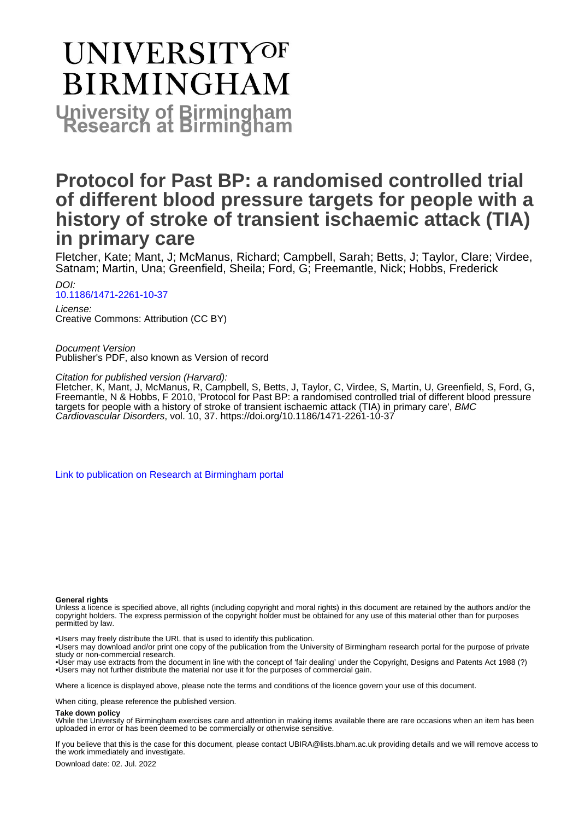# **UNIVERSITYOF BIRMINGHAM University of Birmingham**

## **Protocol for Past BP: a randomised controlled trial of different blood pressure targets for people with a history of stroke of transient ischaemic attack (TIA) in primary care**

Fletcher, Kate; Mant, J; McManus, Richard; Campbell, Sarah; Betts, J; Taylor, Clare; Virdee, Satnam; Martin, Una; Greenfield, Sheila; Ford, G; Freemantle, Nick; Hobbs, Frederick

DOI: [10.1186/1471-2261-10-37](https://doi.org/10.1186/1471-2261-10-37)

License: Creative Commons: Attribution (CC BY)

Document Version Publisher's PDF, also known as Version of record

Citation for published version (Harvard):

Fletcher, K, Mant, J, McManus, R, Campbell, S, Betts, J, Taylor, C, Virdee, S, Martin, U, Greenfield, S, Ford, G, Freemantle, N & Hobbs, F 2010, 'Protocol for Past BP: a randomised controlled trial of different blood pressure targets for people with a history of stroke of transient ischaemic attack (TIA) in primary care', BMC Cardiovascular Disorders, vol. 10, 37.<https://doi.org/10.1186/1471-2261-10-37>

[Link to publication on Research at Birmingham portal](https://birmingham.elsevierpure.com/en/publications/07f47e05-4632-4518-b6e0-74d982f9c18d)

#### **General rights**

Unless a licence is specified above, all rights (including copyright and moral rights) in this document are retained by the authors and/or the copyright holders. The express permission of the copyright holder must be obtained for any use of this material other than for purposes permitted by law.

• Users may freely distribute the URL that is used to identify this publication.

• Users may download and/or print one copy of the publication from the University of Birmingham research portal for the purpose of private study or non-commercial research.

• User may use extracts from the document in line with the concept of 'fair dealing' under the Copyright, Designs and Patents Act 1988 (?) • Users may not further distribute the material nor use it for the purposes of commercial gain.

Where a licence is displayed above, please note the terms and conditions of the licence govern your use of this document.

When citing, please reference the published version.

#### **Take down policy**

While the University of Birmingham exercises care and attention in making items available there are rare occasions when an item has been uploaded in error or has been deemed to be commercially or otherwise sensitive.

If you believe that this is the case for this document, please contact UBIRA@lists.bham.ac.uk providing details and we will remove access to the work immediately and investigate.

Download date: 02. Jul. 2022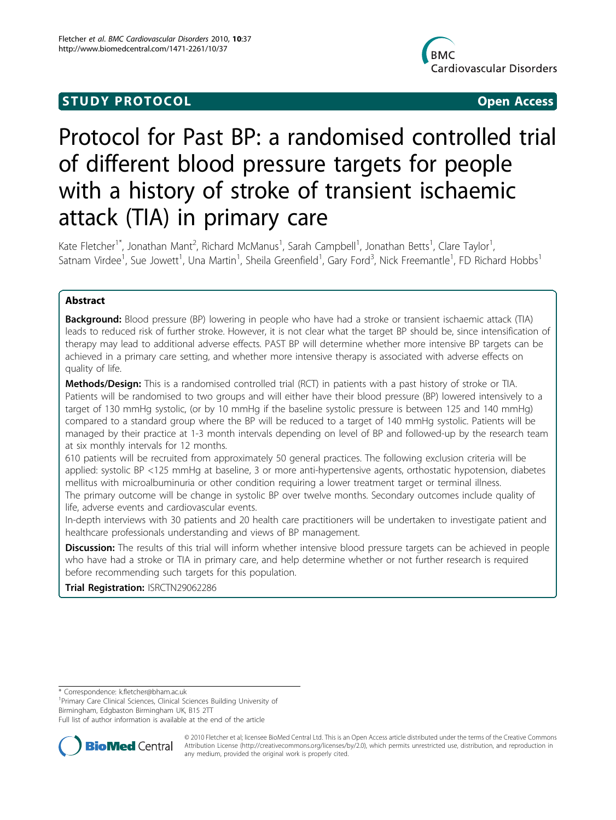## **STUDY PROTOCOL** And the state of the state of the state of the state of the state of the state of the state of the state of the state of the state of the state of the state of the state of the state of the state of the st



## Protocol for Past BP: a randomised controlled trial of different blood pressure targets for people with a history of stroke of transient ischaemic attack (TIA) in primary care

Kate Fletcher<sup>1\*</sup>, Jonathan Mant<sup>2</sup>, Richard McManus<sup>1</sup>, Sarah Campbell<sup>1</sup>, Jonathan Betts<sup>1</sup>, Clare Taylor<sup>1</sup> , Satnam Virdee<sup>1</sup>, Sue Jowett<sup>1</sup>, Una Martin<sup>1</sup>, Sheila Greenfield<sup>1</sup>, Gary Ford<sup>3</sup>, Nick Freemantle<sup>1</sup>, FD Richard Hobbs<sup>1</sup>

#### Abstract

**Background:** Blood pressure (BP) lowering in people who have had a stroke or transient ischaemic attack (TIA) leads to reduced risk of further stroke. However, it is not clear what the target BP should be, since intensification of therapy may lead to additional adverse effects. PAST BP will determine whether more intensive BP targets can be achieved in a primary care setting, and whether more intensive therapy is associated with adverse effects on quality of life.

Methods/Design: This is a randomised controlled trial (RCT) in patients with a past history of stroke or TIA. Patients will be randomised to two groups and will either have their blood pressure (BP) lowered intensively to a target of 130 mmHg systolic, (or by 10 mmHg if the baseline systolic pressure is between 125 and 140 mmHg) compared to a standard group where the BP will be reduced to a target of 140 mmHg systolic. Patients will be managed by their practice at 1-3 month intervals depending on level of BP and followed-up by the research team at six monthly intervals for 12 months.

610 patients will be recruited from approximately 50 general practices. The following exclusion criteria will be applied: systolic BP <125 mmHg at baseline, 3 or more anti-hypertensive agents, orthostatic hypotension, diabetes mellitus with microalbuminuria or other condition requiring a lower treatment target or terminal illness. The primary outcome will be change in systolic BP over twelve months. Secondary outcomes include quality of life, adverse events and cardiovascular events.

In-depth interviews with 30 patients and 20 health care practitioners will be undertaken to investigate patient and healthcare professionals understanding and views of BP management.

**Discussion:** The results of this trial will inform whether intensive blood pressure targets can be achieved in people who have had a stroke or TIA in primary care, and help determine whether or not further research is required before recommending such targets for this population.

Trial Registration: ISRCTN29062286

<sup>1</sup> Primary Care Clinical Sciences, Clinical Sciences Building University of Birmingham, Edgbaston Birmingham UK, B15 2TT

Full list of author information is available at the end of the article



© 2010 Fletcher et al; licensee BioMed Central Ltd. This is an Open Access article distributed under the terms of the Creative Commons Attribution License [\(http://creativecommons.org/licenses/by/2.0](http://creativecommons.org/licenses/by/2.0)), which permits unrestricted use, distribution, and reproduction in any medium, provided the original work is properly cited.

<sup>\*</sup> Correspondence: [k.fletcher@bham.ac.uk](mailto:k.fletcher@bham.ac.uk)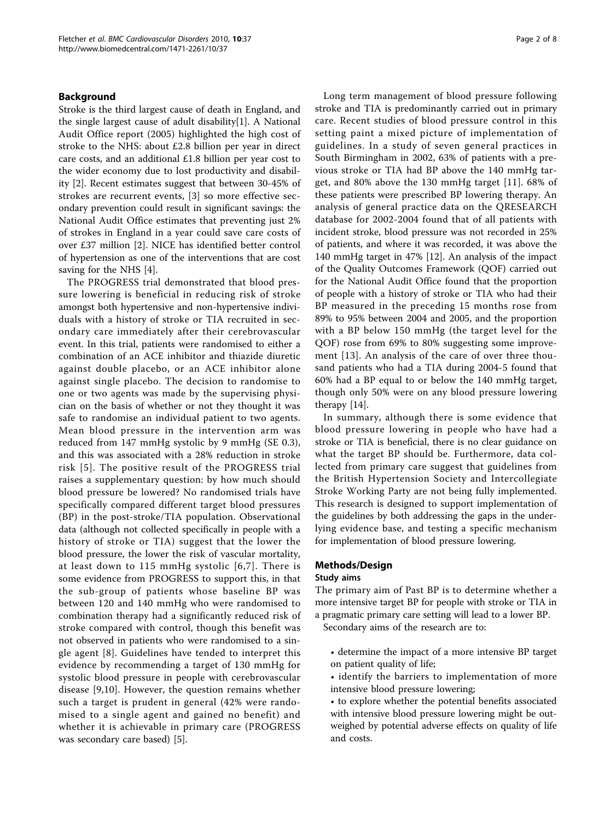#### Background

Stroke is the third largest cause of death in England, and the single largest cause of adult disability[\[1](#page-8-0)]. A National Audit Office report (2005) highlighted the high cost of stroke to the NHS: about £2.8 billion per year in direct care costs, and an additional £1.8 billion per year cost to the wider economy due to lost productivity and disability [\[2](#page-8-0)]. Recent estimates suggest that between 30-45% of strokes are recurrent events, [\[3](#page-8-0)] so more effective secondary prevention could result in significant savings: the National Audit Office estimates that preventing just 2% of strokes in England in a year could save care costs of over £37 million [[2\]](#page-8-0). NICE has identified better control of hypertension as one of the interventions that are cost saving for the NHS [\[4](#page-8-0)].

The PROGRESS trial demonstrated that blood pressure lowering is beneficial in reducing risk of stroke amongst both hypertensive and non-hypertensive individuals with a history of stroke or TIA recruited in secondary care immediately after their cerebrovascular event. In this trial, patients were randomised to either a combination of an ACE inhibitor and thiazide diuretic against double placebo, or an ACE inhibitor alone against single placebo. The decision to randomise to one or two agents was made by the supervising physician on the basis of whether or not they thought it was safe to randomise an individual patient to two agents. Mean blood pressure in the intervention arm was reduced from 147 mmHg systolic by 9 mmHg (SE 0.3), and this was associated with a 28% reduction in stroke risk [[5](#page-8-0)]. The positive result of the PROGRESS trial raises a supplementary question: by how much should blood pressure be lowered? No randomised trials have specifically compared different target blood pressures (BP) in the post-stroke/TIA population. Observational data (although not collected specifically in people with a history of stroke or TIA) suggest that the lower the blood pressure, the lower the risk of vascular mortality, at least down to 115 mmHg systolic [[6](#page-8-0),[7](#page-8-0)]. There is some evidence from PROGRESS to support this, in that the sub-group of patients whose baseline BP was between 120 and 140 mmHg who were randomised to combination therapy had a significantly reduced risk of stroke compared with control, though this benefit was not observed in patients who were randomised to a single agent [[8\]](#page-8-0). Guidelines have tended to interpret this evidence by recommending a target of 130 mmHg for systolic blood pressure in people with cerebrovascular disease [[9](#page-8-0),[10\]](#page-8-0). However, the question remains whether such a target is prudent in general (42% were randomised to a single agent and gained no benefit) and whether it is achievable in primary care (PROGRESS was secondary care based) [\[5\]](#page-8-0).

Long term management of blood pressure following stroke and TIA is predominantly carried out in primary care. Recent studies of blood pressure control in this setting paint a mixed picture of implementation of guidelines. In a study of seven general practices in South Birmingham in 2002, 63% of patients with a previous stroke or TIA had BP above the 140 mmHg target, and 80% above the 130 mmHg target [[11\]](#page-8-0). 68% of these patients were prescribed BP lowering therapy. An analysis of general practice data on the QRESEARCH database for 2002-2004 found that of all patients with incident stroke, blood pressure was not recorded in 25% of patients, and where it was recorded, it was above the 140 mmHg target in 47% [\[12\]](#page-8-0). An analysis of the impact of the Quality Outcomes Framework (QOF) carried out for the National Audit Office found that the proportion of people with a history of stroke or TIA who had their BP measured in the preceding 15 months rose from 89% to 95% between 2004 and 2005, and the proportion with a BP below 150 mmHg (the target level for the QOF) rose from 69% to 80% suggesting some improvement [[13\]](#page-8-0). An analysis of the care of over three thousand patients who had a TIA during 2004-5 found that 60% had a BP equal to or below the 140 mmHg target, though only 50% were on any blood pressure lowering therapy [[14](#page-8-0)].

In summary, although there is some evidence that blood pressure lowering in people who have had a stroke or TIA is beneficial, there is no clear guidance on what the target BP should be. Furthermore, data collected from primary care suggest that guidelines from the British Hypertension Society and Intercollegiate Stroke Working Party are not being fully implemented. This research is designed to support implementation of the guidelines by both addressing the gaps in the underlying evidence base, and testing a specific mechanism for implementation of blood pressure lowering.

#### Methods/Design

#### Study aims

The primary aim of Past BP is to determine whether a more intensive target BP for people with stroke or TIA in a pragmatic primary care setting will lead to a lower BP.

Secondary aims of the research are to:

- determine the impact of a more intensive BP target on patient quality of life;
- identify the barriers to implementation of more intensive blood pressure lowering;
- to explore whether the potential benefits associated with intensive blood pressure lowering might be outweighed by potential adverse effects on quality of life and costs.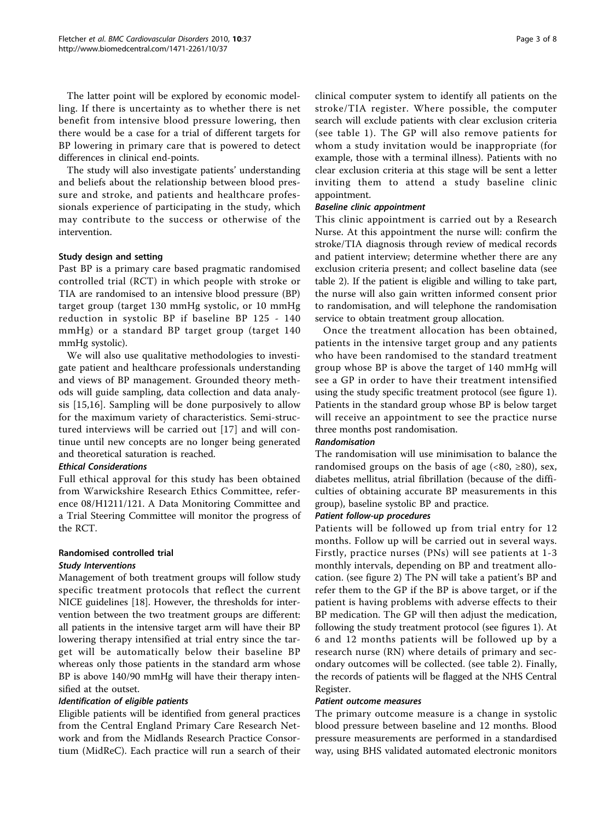The latter point will be explored by economic modelling. If there is uncertainty as to whether there is net benefit from intensive blood pressure lowering, then there would be a case for a trial of different targets for BP lowering in primary care that is powered to detect differences in clinical end-points.

The study will also investigate patients' understanding and beliefs about the relationship between blood pressure and stroke, and patients and healthcare professionals experience of participating in the study, which may contribute to the success or otherwise of the intervention.

#### Study design and setting

Past BP is a primary care based pragmatic randomised controlled trial (RCT) in which people with stroke or TIA are randomised to an intensive blood pressure (BP) target group (target 130 mmHg systolic, or 10 mmHg reduction in systolic BP if baseline BP 125 - 140 mmHg) or a standard BP target group (target 140 mmHg systolic).

We will also use qualitative methodologies to investigate patient and healthcare professionals understanding and views of BP management. Grounded theory methods will guide sampling, data collection and data analysis [[15](#page-8-0),[16\]](#page-8-0). Sampling will be done purposively to allow for the maximum variety of characteristics. Semi-structured interviews will be carried out [\[17\]](#page-8-0) and will continue until new concepts are no longer being generated and theoretical saturation is reached.

#### Ethical Considerations

Full ethical approval for this study has been obtained from Warwickshire Research Ethics Committee, reference 08/H1211/121. A Data Monitoring Committee and a Trial Steering Committee will monitor the progress of the RCT.

### Randomised controlled trial

#### Study Interventions

Management of both treatment groups will follow study specific treatment protocols that reflect the current NICE guidelines [\[18](#page-8-0)]. However, the thresholds for intervention between the two treatment groups are different: all patients in the intensive target arm will have their BP lowering therapy intensified at trial entry since the target will be automatically below their baseline BP whereas only those patients in the standard arm whose BP is above 140/90 mmHg will have their therapy intensified at the outset.

#### Identification of eligible patients

Eligible patients will be identified from general practices from the Central England Primary Care Research Network and from the Midlands Research Practice Consortium (MidReC). Each practice will run a search of their clinical computer system to identify all patients on the stroke/TIA register. Where possible, the computer search will exclude patients with clear exclusion criteria (see table [1\)](#page-4-0). The GP will also remove patients for whom a study invitation would be inappropriate (for example, those with a terminal illness). Patients with no clear exclusion criteria at this stage will be sent a letter inviting them to attend a study baseline clinic appointment.

#### Baseline clinic appointment

This clinic appointment is carried out by a Research Nurse. At this appointment the nurse will: confirm the stroke/TIA diagnosis through review of medical records and patient interview; determine whether there are any exclusion criteria present; and collect baseline data (see table [2](#page-4-0)). If the patient is eligible and willing to take part, the nurse will also gain written informed consent prior to randomisation, and will telephone the randomisation service to obtain treatment group allocation.

Once the treatment allocation has been obtained, patients in the intensive target group and any patients who have been randomised to the standard treatment group whose BP is above the target of 140 mmHg will see a GP in order to have their treatment intensified using the study specific treatment protocol (see figure [1](#page-5-0)). Patients in the standard group whose BP is below target will receive an appointment to see the practice nurse three months post randomisation.

#### Randomisation

The randomisation will use minimisation to balance the randomised groups on the basis of age  $\left( < 80, \geq 80 \right)$ , sex, diabetes mellitus, atrial fibrillation (because of the difficulties of obtaining accurate BP measurements in this group), baseline systolic BP and practice.

#### Patient follow-up procedures

Patients will be followed up from trial entry for 12 months. Follow up will be carried out in several ways. Firstly, practice nurses (PNs) will see patients at 1-3 monthly intervals, depending on BP and treatment allocation. (see figure [2\)](#page-6-0) The PN will take a patient's BP and refer them to the GP if the BP is above target, or if the patient is having problems with adverse effects to their BP medication. The GP will then adjust the medication, following the study treatment protocol (see figures [1](#page-5-0)). At 6 and 12 months patients will be followed up by a research nurse (RN) where details of primary and secondary outcomes will be collected. (see table [2](#page-4-0)). Finally, the records of patients will be flagged at the NHS Central Register.

#### Patient outcome measures

The primary outcome measure is a change in systolic blood pressure between baseline and 12 months. Blood pressure measurements are performed in a standardised way, using BHS validated automated electronic monitors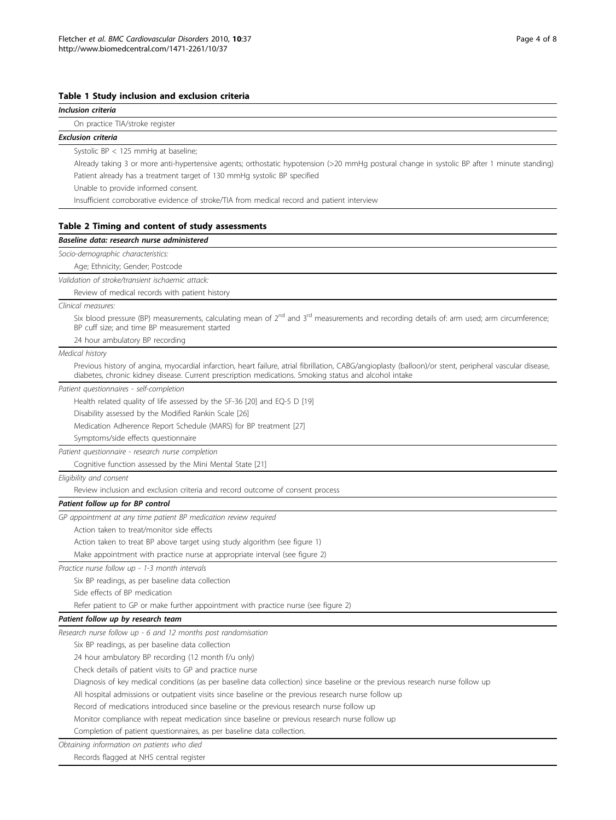#### <span id="page-4-0"></span>Table 1 Study inclusion and exclusion criteria

| Inclusion criteria                                                                                                                                                                                                                                                |
|-------------------------------------------------------------------------------------------------------------------------------------------------------------------------------------------------------------------------------------------------------------------|
| On practice TIA/stroke register                                                                                                                                                                                                                                   |
| <b>Exclusion criteria</b>                                                                                                                                                                                                                                         |
| Systolic BP < 125 mmHg at baseline;                                                                                                                                                                                                                               |
| Already taking 3 or more anti-hypertensive agents; orthostatic hypotension (>20 mmHg postural change in systolic BP after 1 minute standing)                                                                                                                      |
| Patient already has a treatment target of 130 mmHg systolic BP specified                                                                                                                                                                                          |
| Unable to provide informed consent.                                                                                                                                                                                                                               |
| Insufficient corroborative evidence of stroke/TIA from medical record and patient interview                                                                                                                                                                       |
|                                                                                                                                                                                                                                                                   |
| Table 2 Timing and content of study assessments                                                                                                                                                                                                                   |
| Baseline data: research nurse administered                                                                                                                                                                                                                        |
| Socio-demographic characteristics:                                                                                                                                                                                                                                |
| Age; Ethnicity; Gender; Postcode                                                                                                                                                                                                                                  |
| Validation of stroke/transient ischaemic attack:                                                                                                                                                                                                                  |
| Review of medical records with patient history                                                                                                                                                                                                                    |
| Clinical measures:                                                                                                                                                                                                                                                |
| Six blood pressure (BP) measurements, calculating mean of 2 <sup>nd</sup> and 3 <sup>rd</sup> measurements and recording details of: arm used; arm circumference;<br>BP cuff size; and time BP measurement started                                                |
| 24 hour ambulatory BP recording                                                                                                                                                                                                                                   |
| Medical history                                                                                                                                                                                                                                                   |
| Previous history of angina, myocardial infarction, heart failure, atrial fibrillation, CABG/angioplasty (balloon)/or stent, peripheral vascular disease,<br>diabetes, chronic kidney disease. Current prescription medications. Smoking status and alcohol intake |
| Patient questionnaires - self-completion                                                                                                                                                                                                                          |
| Health related quality of life assessed by the SF-36 [20] and EQ-5 D [19]                                                                                                                                                                                         |
| Disability assessed by the Modified Rankin Scale [26]                                                                                                                                                                                                             |
| Medication Adherence Report Schedule (MARS) for BP treatment [27]                                                                                                                                                                                                 |
| Symptoms/side effects questionnaire                                                                                                                                                                                                                               |
| Patient questionnaire - research nurse completion                                                                                                                                                                                                                 |
| Cognitive function assessed by the Mini Mental State [21]                                                                                                                                                                                                         |
| Eligibility and consent                                                                                                                                                                                                                                           |
| Review inclusion and exclusion criteria and record outcome of consent process                                                                                                                                                                                     |
| Patient follow up for BP control                                                                                                                                                                                                                                  |
| GP appointment at any time patient BP medication review required                                                                                                                                                                                                  |
| Action taken to treat/monitor side effects                                                                                                                                                                                                                        |
| Action taken to treat BP above target using study algorithm (see figure 1)                                                                                                                                                                                        |
| Make appointment with practice nurse at appropriate interval (see figure 2)                                                                                                                                                                                       |
| Practice nurse follow up - 1-3 month intervals                                                                                                                                                                                                                    |
| Six BP readings, as per baseline data collection                                                                                                                                                                                                                  |
| Side effects of BP medication                                                                                                                                                                                                                                     |
| Refer patient to GP or make further appointment with practice nurse (see figure 2)                                                                                                                                                                                |
| Patient follow up by research team                                                                                                                                                                                                                                |
| Research nurse follow up - 6 and 12 months post randomisation                                                                                                                                                                                                     |
| Six BP readings, as per baseline data collection                                                                                                                                                                                                                  |
| 24 hour ambulatory BP recording (12 month f/u only)                                                                                                                                                                                                               |
| Check details of patient visits to GP and practice nurse                                                                                                                                                                                                          |
| Diagnosis of key medical conditions (as per baseline data collection) since baseline or the previous research nurse follow up                                                                                                                                     |
| All hospital admissions or outpatient visits since baseline or the previous research nurse follow up                                                                                                                                                              |
| Record of medications introduced since baseline or the previous research nurse follow up                                                                                                                                                                          |
|                                                                                                                                                                                                                                                                   |
| Monitor compliance with repeat medication since baseline or previous research nurse follow up<br>Completion of patient questionnaires, as per baseline data collection.                                                                                           |
|                                                                                                                                                                                                                                                                   |
| Obtaining information on patients who died                                                                                                                                                                                                                        |

Records flagged at NHS central register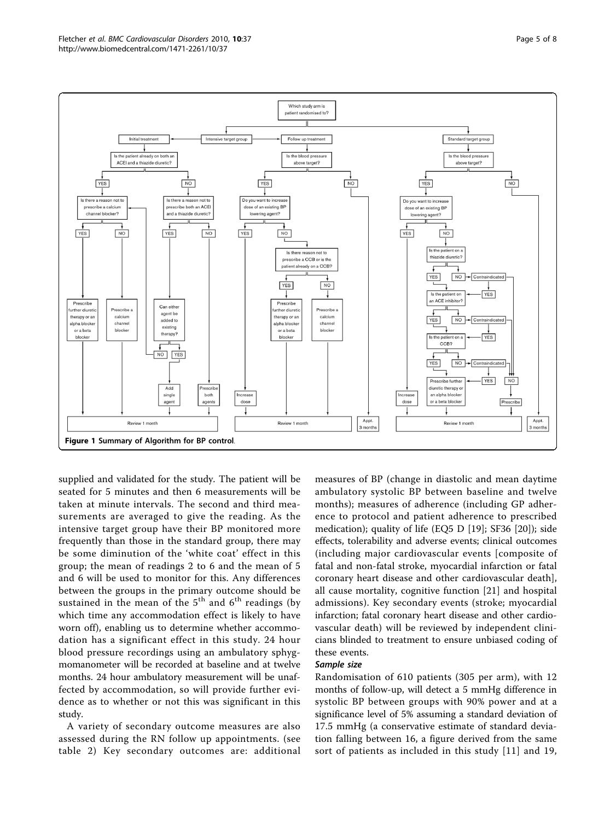<span id="page-5-0"></span>

supplied and validated for the study. The patient will be seated for 5 minutes and then 6 measurements will be taken at minute intervals. The second and third measurements are averaged to give the reading. As the intensive target group have their BP monitored more frequently than those in the standard group, there may be some diminution of the 'white coat' effect in this group; the mean of readings 2 to 6 and the mean of 5 and 6 will be used to monitor for this. Any differences between the groups in the primary outcome should be sustained in the mean of the  $5<sup>th</sup>$  and  $6<sup>th</sup>$  readings (by which time any accommodation effect is likely to have worn off), enabling us to determine whether accommodation has a significant effect in this study. 24 hour blood pressure recordings using an ambulatory sphygmomanometer will be recorded at baseline and at twelve months. 24 hour ambulatory measurement will be unaffected by accommodation, so will provide further evidence as to whether or not this was significant in this study.

A variety of secondary outcome measures are also assessed during the RN follow up appointments. (see table [2](#page-4-0)) Key secondary outcomes are: additional

measures of BP (change in diastolic and mean daytime ambulatory systolic BP between baseline and twelve months); measures of adherence (including GP adherence to protocol and patient adherence to prescribed medication); quality of life (EQ5 D [[19\]](#page-8-0); SF36 [[20\]](#page-8-0)); side effects, tolerability and adverse events; clinical outcomes (including major cardiovascular events [composite of fatal and non-fatal stroke, myocardial infarction or fatal coronary heart disease and other cardiovascular death], all cause mortality, cognitive function [\[21](#page-8-0)] and hospital admissions). Key secondary events (stroke; myocardial infarction; fatal coronary heart disease and other cardiovascular death) will be reviewed by independent clinicians blinded to treatment to ensure unbiased coding of these events.

#### Sample size

Randomisation of 610 patients (305 per arm), with 12 months of follow-up, will detect a 5 mmHg difference in systolic BP between groups with 90% power and at a significance level of 5% assuming a standard deviation of 17.5 mmHg (a conservative estimate of standard deviation falling between 16, a figure derived from the same sort of patients as included in this study [\[11\]](#page-8-0) and 19,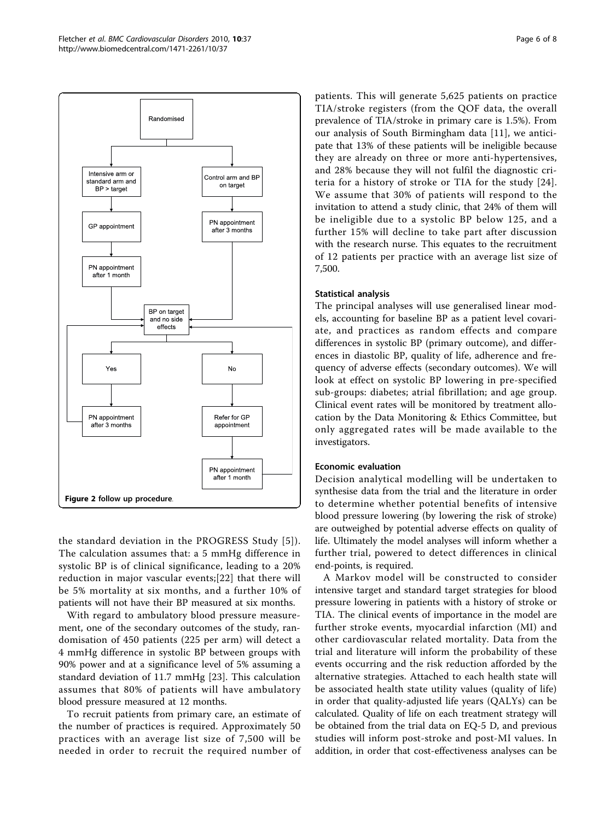<span id="page-6-0"></span>

the standard deviation in the PROGRESS Study [[5](#page-8-0)]). The calculation assumes that: a 5 mmHg difference in systolic BP is of clinical significance, leading to a 20% reduction in major vascular events;[\[22\]](#page-8-0) that there will be 5% mortality at six months, and a further 10% of patients will not have their BP measured at six months.

With regard to ambulatory blood pressure measurement, one of the secondary outcomes of the study, randomisation of 450 patients (225 per arm) will detect a 4 mmHg difference in systolic BP between groups with 90% power and at a significance level of 5% assuming a standard deviation of 11.7 mmHg [[23\]](#page-8-0). This calculation assumes that 80% of patients will have ambulatory blood pressure measured at 12 months.

To recruit patients from primary care, an estimate of the number of practices is required. Approximately 50 practices with an average list size of 7,500 will be needed in order to recruit the required number of patients. This will generate 5,625 patients on practice TIA/stroke registers (from the QOF data, the overall prevalence of TIA/stroke in primary care is 1.5%). From our analysis of South Birmingham data [[11\]](#page-8-0), we anticipate that 13% of these patients will be ineligible because they are already on three or more anti-hypertensives, and 28% because they will not fulfil the diagnostic criteria for a history of stroke or TIA for the study [[24](#page-8-0)]. We assume that 30% of patients will respond to the invitation to attend a study clinic, that 24% of them will be ineligible due to a systolic BP below 125, and a further 15% will decline to take part after discussion with the research nurse. This equates to the recruitment of 12 patients per practice with an average list size of 7,500.

#### Statistical analysis

The principal analyses will use generalised linear models, accounting for baseline BP as a patient level covariate, and practices as random effects and compare differences in systolic BP (primary outcome), and differences in diastolic BP, quality of life, adherence and frequency of adverse effects (secondary outcomes). We will look at effect on systolic BP lowering in pre-specified sub-groups: diabetes; atrial fibrillation; and age group. Clinical event rates will be monitored by treatment allocation by the Data Monitoring & Ethics Committee, but only aggregated rates will be made available to the investigators.

#### Economic evaluation

Decision analytical modelling will be undertaken to synthesise data from the trial and the literature in order to determine whether potential benefits of intensive blood pressure lowering (by lowering the risk of stroke) are outweighed by potential adverse effects on quality of life. Ultimately the model analyses will inform whether a further trial, powered to detect differences in clinical end-points, is required.

A Markov model will be constructed to consider intensive target and standard target strategies for blood pressure lowering in patients with a history of stroke or TIA. The clinical events of importance in the model are further stroke events, myocardial infarction (MI) and other cardiovascular related mortality. Data from the trial and literature will inform the probability of these events occurring and the risk reduction afforded by the alternative strategies. Attached to each health state will be associated health state utility values (quality of life) in order that quality-adjusted life years (QALYs) can be calculated. Quality of life on each treatment strategy will be obtained from the trial data on EQ-5 D, and previous studies will inform post-stroke and post-MI values. In addition, in order that cost-effectiveness analyses can be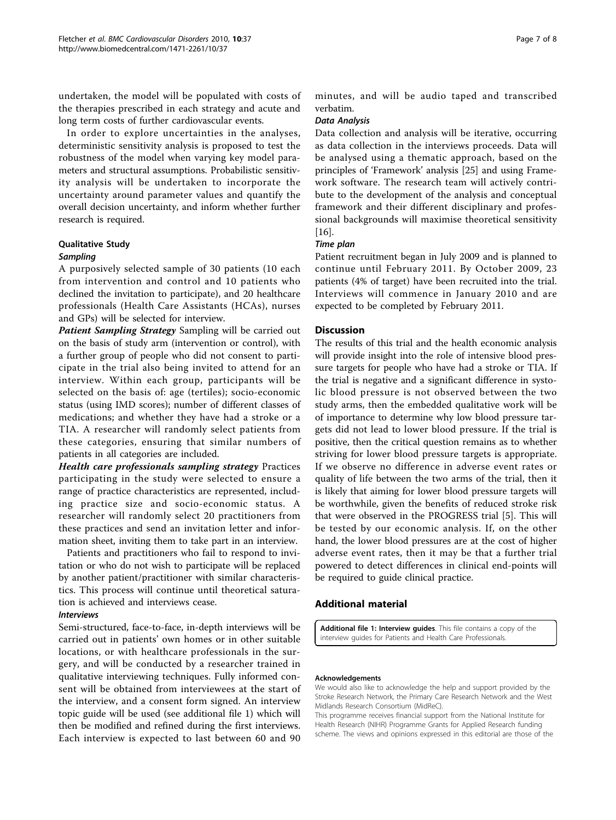undertaken, the model will be populated with costs of the therapies prescribed in each strategy and acute and long term costs of further cardiovascular events.

In order to explore uncertainties in the analyses, deterministic sensitivity analysis is proposed to test the robustness of the model when varying key model parameters and structural assumptions. Probabilistic sensitivity analysis will be undertaken to incorporate the uncertainty around parameter values and quantify the overall decision uncertainty, and inform whether further research is required.

#### Qualitative Study

#### Sampling

A purposively selected sample of 30 patients (10 each from intervention and control and 10 patients who declined the invitation to participate), and 20 healthcare professionals (Health Care Assistants (HCAs), nurses and GPs) will be selected for interview.

Patient Sampling Strategy Sampling will be carried out on the basis of study arm (intervention or control), with a further group of people who did not consent to participate in the trial also being invited to attend for an interview. Within each group, participants will be selected on the basis of: age (tertiles); socio-economic status (using IMD scores); number of different classes of medications; and whether they have had a stroke or a TIA. A researcher will randomly select patients from these categories, ensuring that similar numbers of patients in all categories are included.

Health care professionals sampling strategy Practices participating in the study were selected to ensure a range of practice characteristics are represented, including practice size and socio-economic status. A researcher will randomly select 20 practitioners from these practices and send an invitation letter and information sheet, inviting them to take part in an interview.

Patients and practitioners who fail to respond to invitation or who do not wish to participate will be replaced by another patient/practitioner with similar characteristics. This process will continue until theoretical saturation is achieved and interviews cease.

#### Interviews

Semi-structured, face-to-face, in-depth interviews will be carried out in patients' own homes or in other suitable locations, or with healthcare professionals in the surgery, and will be conducted by a researcher trained in qualitative interviewing techniques. Fully informed consent will be obtained from interviewees at the start of the interview, and a consent form signed. An interview topic guide will be used (see additional file 1) which will then be modified and refined during the first interviews. Each interview is expected to last between 60 and 90

minutes, and will be audio taped and transcribed verbatim.

#### Data Analysis

Data collection and analysis will be iterative, occurring as data collection in the interviews proceeds. Data will be analysed using a thematic approach, based on the principles of 'Framework' analysis [[25\]](#page-8-0) and using Framework software. The research team will actively contribute to the development of the analysis and conceptual framework and their different disciplinary and professional backgrounds will maximise theoretical sensitivity [[16\]](#page-8-0).

#### Time plan

Patient recruitment began in July 2009 and is planned to continue until February 2011. By October 2009, 23 patients (4% of target) have been recruited into the trial. Interviews will commence in January 2010 and are expected to be completed by February 2011.

#### **Discussion**

The results of this trial and the health economic analysis will provide insight into the role of intensive blood pressure targets for people who have had a stroke or TIA. If the trial is negative and a significant difference in systolic blood pressure is not observed between the two study arms, then the embedded qualitative work will be of importance to determine why low blood pressure targets did not lead to lower blood pressure. If the trial is positive, then the critical question remains as to whether striving for lower blood pressure targets is appropriate. If we observe no difference in adverse event rates or quality of life between the two arms of the trial, then it is likely that aiming for lower blood pressure targets will be worthwhile, given the benefits of reduced stroke risk that were observed in the PROGRESS trial [[5\]](#page-8-0). This will be tested by our economic analysis. If, on the other hand, the lower blood pressures are at the cost of higher adverse event rates, then it may be that a further trial powered to detect differences in clinical end-points will be required to guide clinical practice.

#### Additional material

[Additional file 1: I](http://www.biomedcentral.com/content/supplementary/1471-2261-10-37-S1.DOC)nterview guides. This file contains a copy of the interview guides for Patients and Health Care Professionals.

#### Acknowledgements

We would also like to acknowledge the help and support provided by the Stroke Research Network, the Primary Care Research Network and the West Midlands Research Consortium (MidReC).

This programme receives financial support from the National Institute for Health Research (NIHR) Programme Grants for Applied Research funding scheme. The views and opinions expressed in this editorial are those of the